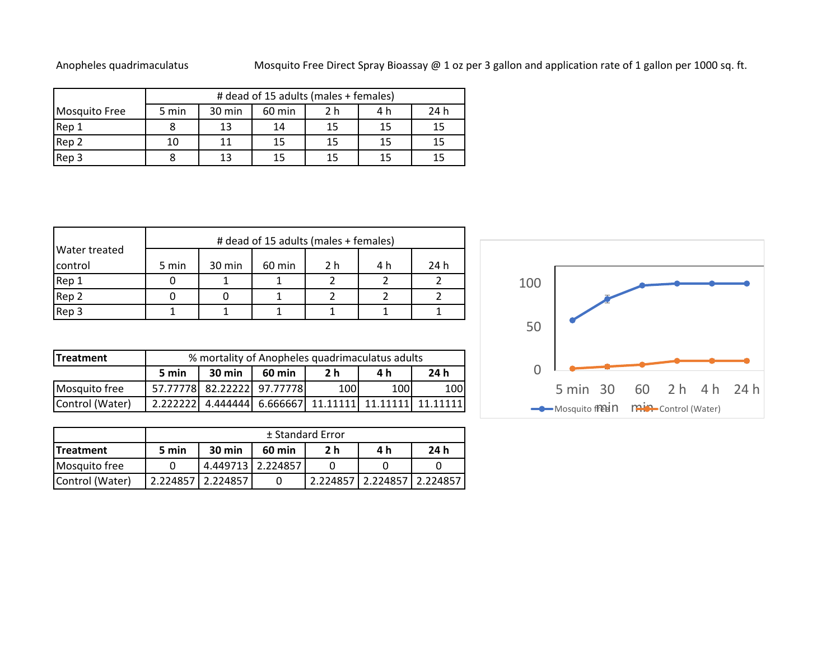## Anopheles quadrimaculatus Mosquito Free Direct Spray Bioassay @ 1 oz per 3 gallon and application rate of 1 gallon per 1000 sq. ft.

|               | # dead of 15 adults (males + females) |     |      |    |    |    |
|---------------|---------------------------------------|-----|------|----|----|----|
| Mosquito Free | 5 min                                 | 4 h | 24 h |    |    |    |
| Rep 1         |                                       | 13  | 14   | 15 | 15 | 15 |
| Rep 2         | 10                                    |     | 15   | 15 | 15 | 15 |
| Rep 3         |                                       |     |      | 15 | 15 | 15 |

|               | # dead of 15 adults (males + females) |        |        |     |     |      |  |
|---------------|---------------------------------------|--------|--------|-----|-----|------|--|
| Water treated |                                       |        |        |     |     |      |  |
| control       | 5 min                                 | 30 min | 60 min | 2 h | 4 h | 24 h |  |
| Rep 1         |                                       |        |        |     |     |      |  |
| Rep 2         |                                       |        |        |     |     |      |  |
| Rep 3         |                                       |        |        |     |     |      |  |

| <b>ITreatment</b> | % mortality of Anopheles quadrimaculatus adults |          |                                                       |      |      |     |  |
|-------------------|-------------------------------------------------|----------|-------------------------------------------------------|------|------|-----|--|
|                   | 5 min                                           | $30$ min | 24 h<br>2 h<br>60 min<br>4 h                          |      |      |     |  |
| Mosquito free     |                                                 |          | 57.77778 82.22222 97.77778                            | 100l | 100l | 100 |  |
| Control (Water)   |                                                 |          | 2.222222 4.444444 6.666667 11.11111 11.11111 11.11111 |      |      |     |  |

|                  | ± Standard Error |                   |                   |     |                            |      |
|------------------|------------------|-------------------|-------------------|-----|----------------------------|------|
| <b>Treatment</b> | 5 min            | $30$ min          | 60 min            | 2 h | 4 h                        | 24 h |
| Mosquito free    |                  |                   | 4.449713 2.224857 |     |                            |      |
| Control (Water)  |                  | 2.224857 2.224857 |                   |     | 2.224857 2.224857 2.224857 |      |